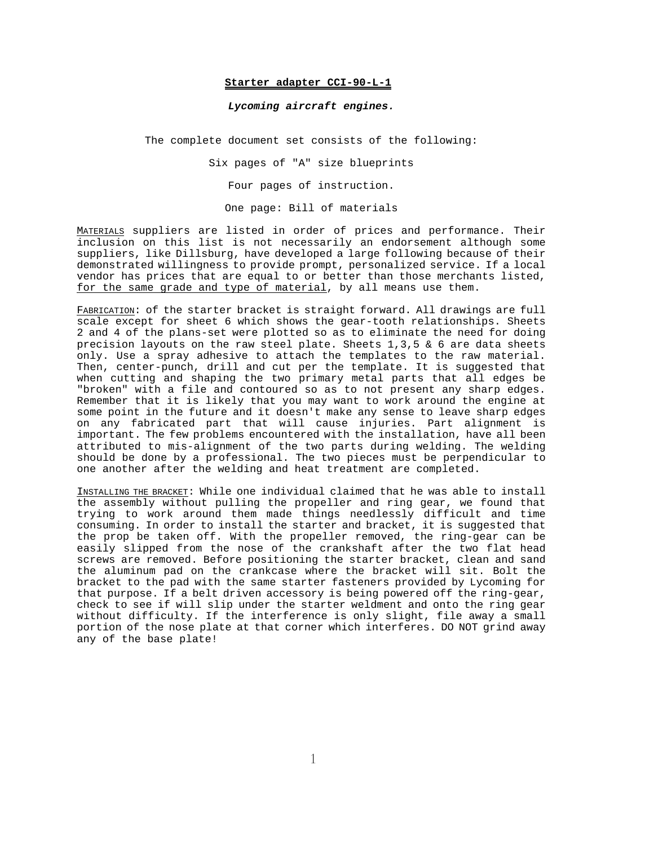# **Starter adapter CCI-90-L-1**

#### *Lycoming aircraft engines.*

The complete document set consists of the following:

Six pages of "A" size blueprints Four pages of instruction.

One page: Bill of materials

MATERIALS suppliers are listed in order of prices and performance. Their inclusion on this list is not necessarily an endorsement although some suppliers, like Dillsburg, have developed a large following because of their demonstrated willingness to provide prompt, personalized service. If a local vendor has prices that are equal to or better than those merchants listed, for the same grade and type of material, by all means use them.

FABRICATION: of the starter bracket is straight forward. All drawings are full scale except for sheet 6 which shows the gear-tooth relationships. Sheets 2 and 4 of the plans-set were plotted so as to eliminate the need for doing precision layouts on the raw steel plate. Sheets 1,3,5 & 6 are data sheets only. Use a spray adhesive to attach the templates to the raw material. Then, center-punch, drill and cut per the template. It is suggested that when cutting and shaping the two primary metal parts that all edges be "broken" with a file and contoured so as to not present any sharp edges. Remember that it is likely that you may want to work around the engine at some point in the future and it doesn't make any sense to leave sharp edges on any fabricated part that will cause injuries. Part alignment is important. The few problems encountered with the installation, have all been attributed to mis-alignment of the two parts during welding. The welding should be done by a professional. The two pieces must be perpendicular to one another after the welding and heat treatment are completed.

INSTALLING THE BRACKET: While one individual claimed that he was able to install the assembly without pulling the propeller and ring gear, we found that trying to work around them made things needlessly difficult and time consuming. In order to install the starter and bracket, it is suggested that the prop be taken off. With the propeller removed, the ring-gear can be easily slipped from the nose of the crankshaft after the two flat head screws are removed. Before positioning the starter bracket, clean and sand the aluminum pad on the crankcase where the bracket will sit. Bolt the bracket to the pad with the same starter fasteners provided by Lycoming for that purpose. If a belt driven accessory is being powered off the ring-gear, check to see if will slip under the starter weldment and onto the ring gear without difficulty. If the interference is only slight, file away a small portion of the nose plate at that corner which interferes. DO NOT grind away any of the base plate!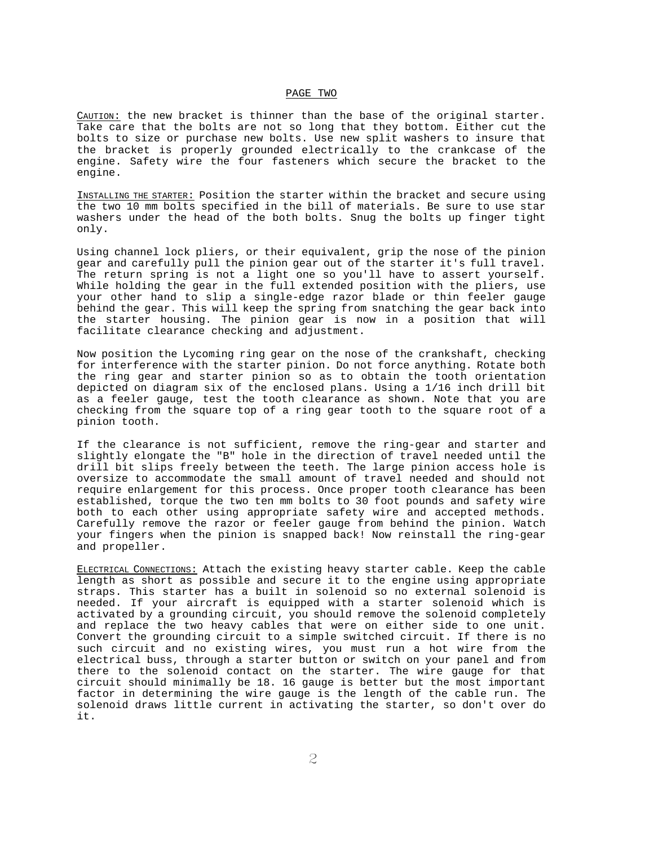## PAGE TWO

CAUTION: the new bracket is thinner than the base of the original starter. Take care that the bolts are not so long that they bottom. Either cut the bolts to size or purchase new bolts. Use new split washers to insure that the bracket is properly grounded electrically to the crankcase of the engine. Safety wire the four fasteners which secure the bracket to the engine.

INSTALLING THE STARTER: Position the starter within the bracket and secure using the two 10 mm bolts specified in the bill of materials. Be sure to use star washers under the head of the both bolts. Snug the bolts up finger tight only.

Using channel lock pliers, or their equivalent, grip the nose of the pinion gear and carefully pull the pinion gear out of the starter it's full travel. The return spring is not a light one so you'll have to assert yourself. While holding the gear in the full extended position with the pliers, use your other hand to slip a single-edge razor blade or thin feeler gauge behind the gear. This will keep the spring from snatching the gear back into the starter housing. The pinion gear is now in a position that will facilitate clearance checking and adjustment.

Now position the Lycoming ring gear on the nose of the crankshaft, checking for interference with the starter pinion. Do not force anything. Rotate both the ring gear and starter pinion so as to obtain the tooth orientation depicted on diagram six of the enclosed plans. Using a 1/16 inch drill bit as a feeler gauge, test the tooth clearance as shown. Note that you are checking from the square top of a ring gear tooth to the square root of a pinion tooth.

If the clearance is not sufficient, remove the ring-gear and starter and slightly elongate the "B" hole in the direction of travel needed until the drill bit slips freely between the teeth. The large pinion access hole is oversize to accommodate the small amount of travel needed and should not require enlargement for this process. Once proper tooth clearance has been established, torque the two ten mm bolts to 30 foot pounds and safety wire both to each other using appropriate safety wire and accepted methods. Carefully remove the razor or feeler gauge from behind the pinion. Watch your fingers when the pinion is snapped back! Now reinstall the ring-gear and propeller.

ELECTRICAL CONNECTIONS: Attach the existing heavy starter cable. Keep the cable length as short as possible and secure it to the engine using appropriate straps. This starter has a built in solenoid so no external solenoid is needed. If your aircraft is equipped with a starter solenoid which is activated by a grounding circuit, you should remove the solenoid completely and replace the two heavy cables that were on either side to one unit. Convert the grounding circuit to a simple switched circuit. If there is no such circuit and no existing wires, you must run a hot wire from the electrical buss, through a starter button or switch on your panel and from there to the solenoid contact on the starter. The wire gauge for that circuit should minimally be 18. 16 gauge is better but the most important factor in determining the wire gauge is the length of the cable run. The solenoid draws little current in activating the starter, so don't over do it.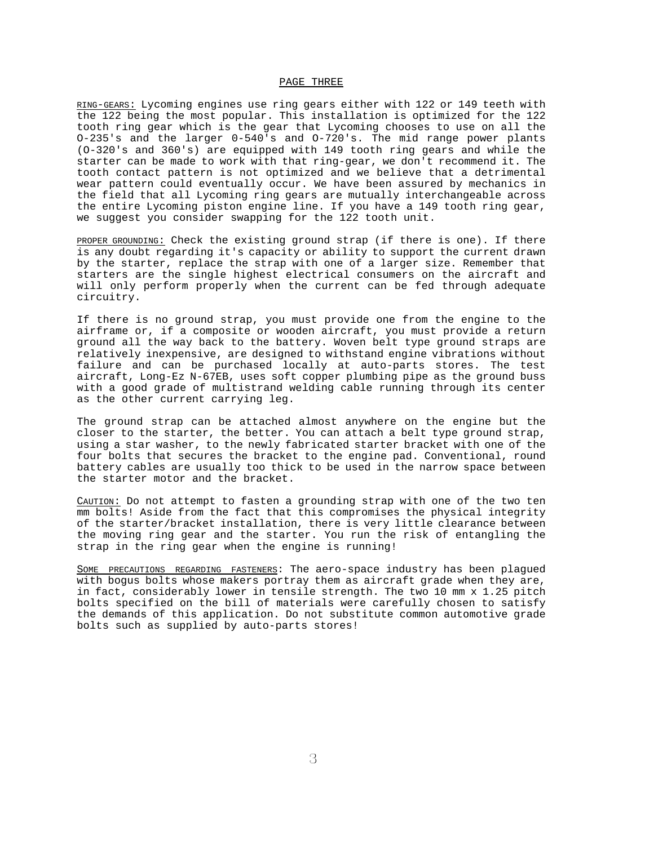### PAGE THREE

RING-GEARS: Lycoming engines use ring gears either with 122 or 149 teeth with the 122 being the most popular. This installation is optimized for the 122 tooth ring gear which is the gear that Lycoming chooses to use on all the O-235's and the larger 0-540's and O-720's. The mid range power plants (O-320's and 360's) are equipped with 149 tooth ring gears and while the starter can be made to work with that ring-gear, we don't recommend it. The tooth contact pattern is not optimized and we believe that a detrimental wear pattern could eventually occur. We have been assured by mechanics in the field that all Lycoming ring gears are mutually interchangeable across the entire Lycoming piston engine line. If you have a 149 tooth ring gear, we suggest you consider swapping for the 122 tooth unit.

PROPER GROUNDING: Check the existing ground strap (if there is one). If there is any doubt regarding it's capacity or ability to support the current drawn by the starter, replace the strap with one of a larger size. Remember that starters are the single highest electrical consumers on the aircraft and will only perform properly when the current can be fed through adequate circuitry.

If there is no ground strap, you must provide one from the engine to the airframe or, if a composite or wooden aircraft, you must provide a return ground all the way back to the battery. Woven belt type ground straps are relatively inexpensive, are designed to withstand engine vibrations without failure and can be purchased locally at auto-parts stores. The test aircraft, Long-Ez N-67EB, uses soft copper plumbing pipe as the ground buss with a good grade of multistrand welding cable running through its center as the other current carrying leg.

The ground strap can be attached almost anywhere on the engine but the closer to the starter, the better. You can attach a belt type ground strap, using a star washer, to the newly fabricated starter bracket with one of the four bolts that secures the bracket to the engine pad. Conventional, round battery cables are usually too thick to be used in the narrow space between the starter motor and the bracket.

CAUTION: Do not attempt to fasten a grounding strap with one of the two ten mm bolts! Aside from the fact that this compromises the physical integrity of the starter/bracket installation, there is very little clearance between the moving ring gear and the starter. You run the risk of entangling the strap in the ring gear when the engine is running!

SOME PRECAUTIONS REGARDING FASTENERS: The aero-space industry has been plagued with bogus bolts whose makers portray them as aircraft grade when they are, in fact, considerably lower in tensile strength. The two 10 mm x 1.25 pitch bolts specified on the bill of materials were carefully chosen to satisfy the demands of this application. Do not substitute common automotive grade bolts such as supplied by auto-parts stores!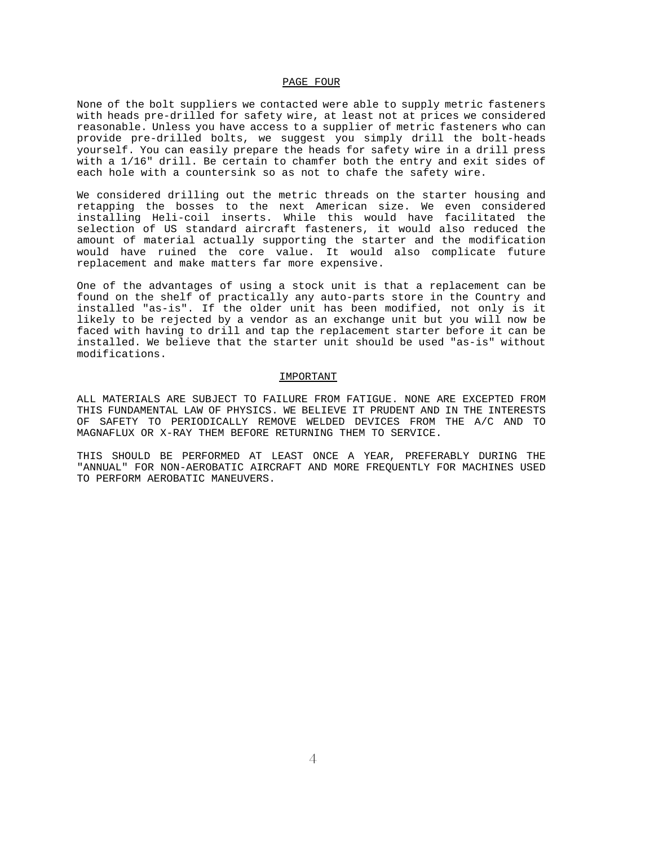### PAGE FOUR

None of the bolt suppliers we contacted were able to supply metric fasteners with heads pre-drilled for safety wire, at least not at prices we considered reasonable. Unless you have access to a supplier of metric fasteners who can provide pre-drilled bolts, we suggest you simply drill the bolt-heads yourself. You can easily prepare the heads for safety wire in a drill press with a 1/16" drill. Be certain to chamfer both the entry and exit sides of each hole with a countersink so as not to chafe the safety wire.

We considered drilling out the metric threads on the starter housing and retapping the bosses to the next American size. We even considered installing Heli-coil inserts. While this would have facilitated the selection of US standard aircraft fasteners, it would also reduced the amount of material actually supporting the starter and the modification would have ruined the core value. It would also complicate future replacement and make matters far more expensive.

One of the advantages of using a stock unit is that a replacement can be found on the shelf of practically any auto-parts store in the Country and installed "as-is". If the older unit has been modified, not only is it likely to be rejected by a vendor as an exchange unit but you will now be faced with having to drill and tap the replacement starter before it can be installed. We believe that the starter unit should be used "as-is" without modifications.

#### IMPORTANT

ALL MATERIALS ARE SUBJECT TO FAILURE FROM FATIGUE. NONE ARE EXCEPTED FROM THIS FUNDAMENTAL LAW OF PHYSICS. WE BELIEVE IT PRUDENT AND IN THE INTERESTS OF SAFETY TO PERIODICALLY REMOVE WELDED DEVICES FROM THE A/C AND TO MAGNAFLUX OR X-RAY THEM BEFORE RETURNING THEM TO SERVICE.

THIS SHOULD BE PERFORMED AT LEAST ONCE A YEAR, PREFERABLY DURING THE "ANNUAL" FOR NON-AEROBATIC AIRCRAFT AND MORE FREQUENTLY FOR MACHINES USED TO PERFORM AEROBATIC MANEUVERS.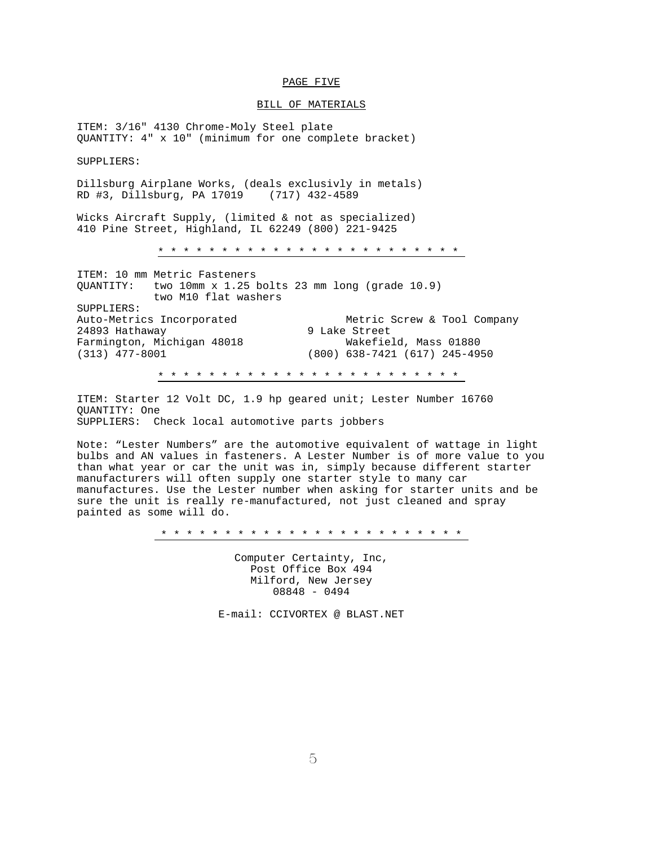# PAGE FIVE

## BILL OF MATERIALS

ITEM: 3/16" 4130 Chrome-Moly Steel plate QUANTITY: 4" x 10" (minimum for one complete bracket)

SUPPLIERS:

Dillsburg Airplane Works, (deals exclusivly in metals) RD #3, Dillsburg, PA 17019 (717) 432-4589

Wicks Aircraft Supply, (limited & not as specialized) 410 Pine Street, Highland, IL 62249 (800) 221-9425

\* \* \* \* \* \* \* \* \* \* \* \* \* \* \* \* \* \* \* \* \* \* \* \*

ITEM: 10 mm Metric Fasteners QUANTITY: two 10mm x 1.25 bolts 23 mm long (grade 10.9) two M10 flat washers SUPPLIERS: Auto-Metrics Incorporated Metric Screw & Tool Company 24893 Hathaway 9 Lake Street Farmington, Michigan 48018<br>(313) 477-8001 (313) 477-8001 (800) 638-7421 (617) 245-4950 \* \* \* \* \* \* \* \* \* \* \* \* \* \* \* \* \* \* \* \* \* \* \* \*

ITEM: Starter 12 Volt DC, 1.9 hp geared unit; Lester Number 16760 QUANTITY: One SUPPLIERS: Check local automotive parts jobbers

Note: "Lester Numbers" are the automotive equivalent of wattage in light bulbs and AN values in fasteners. A Lester Number is of more value to you than what year or car the unit was in, simply because different starter manufacturers will often supply one starter style to many car manufactures. Use the Lester number when asking for starter units and be sure the unit is really re-manufactured, not just cleaned and spray painted as some will do.

\* \* \* \* \* \* \* \* \* \* \* \* \* \* \* \* \* \* \* \* \* \* \* \*

Computer Certainty, Inc, Post Office Box 494 Milford, New Jersey 08848 - 0494

E-mail: CCIVORTEX @ BLAST.NET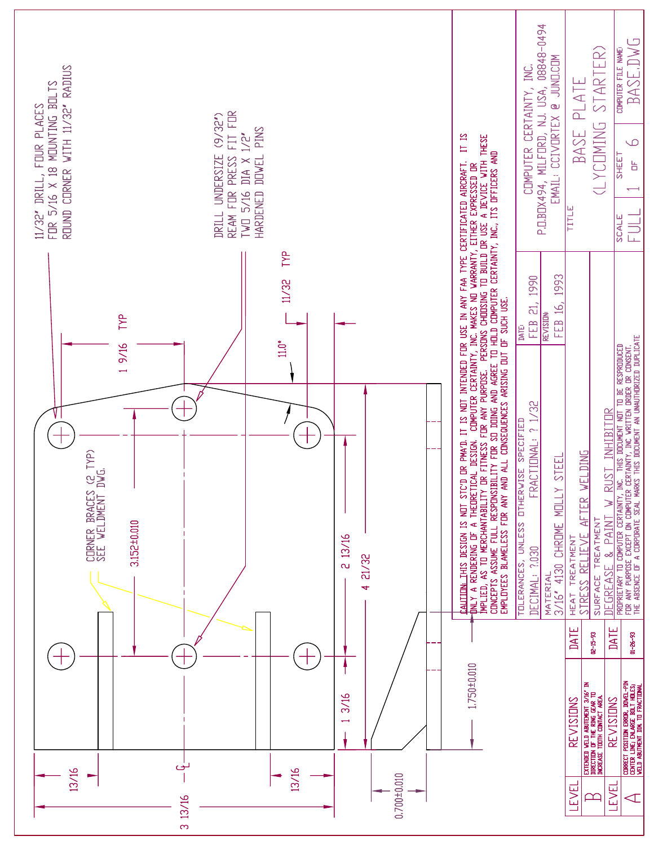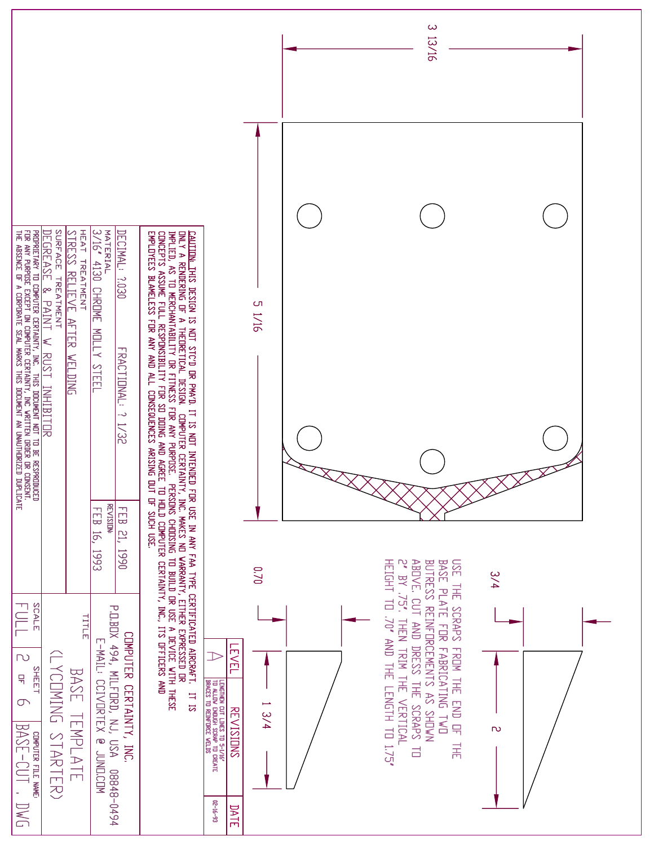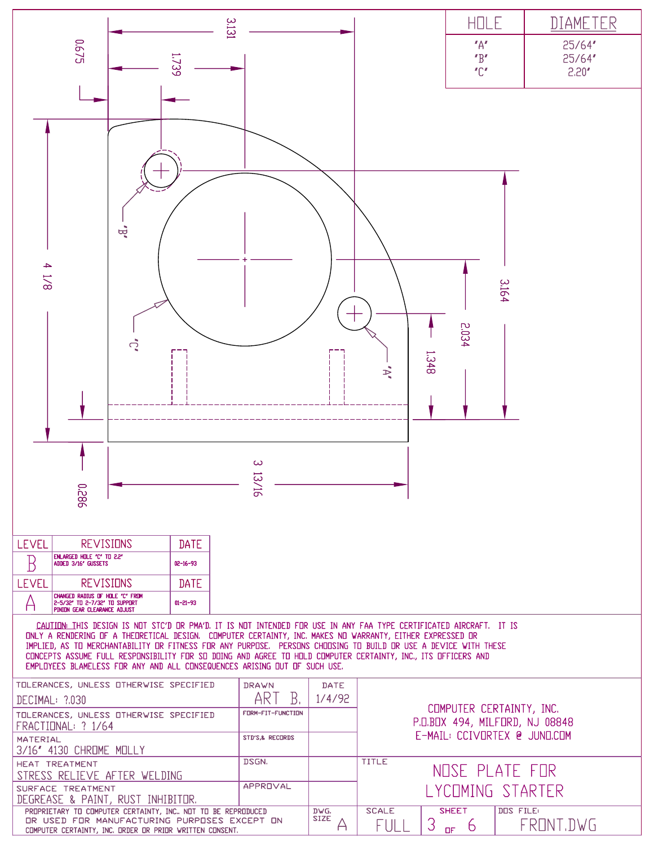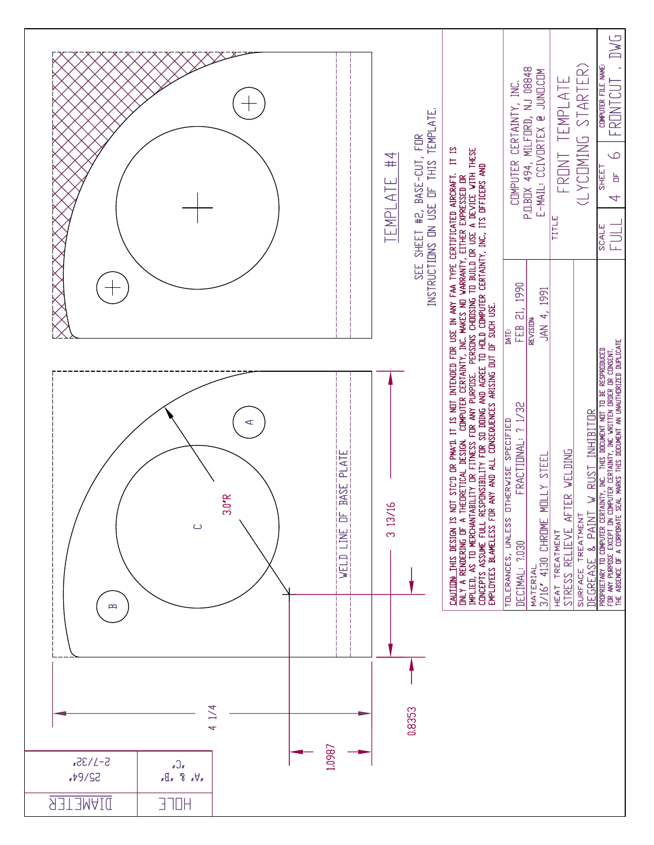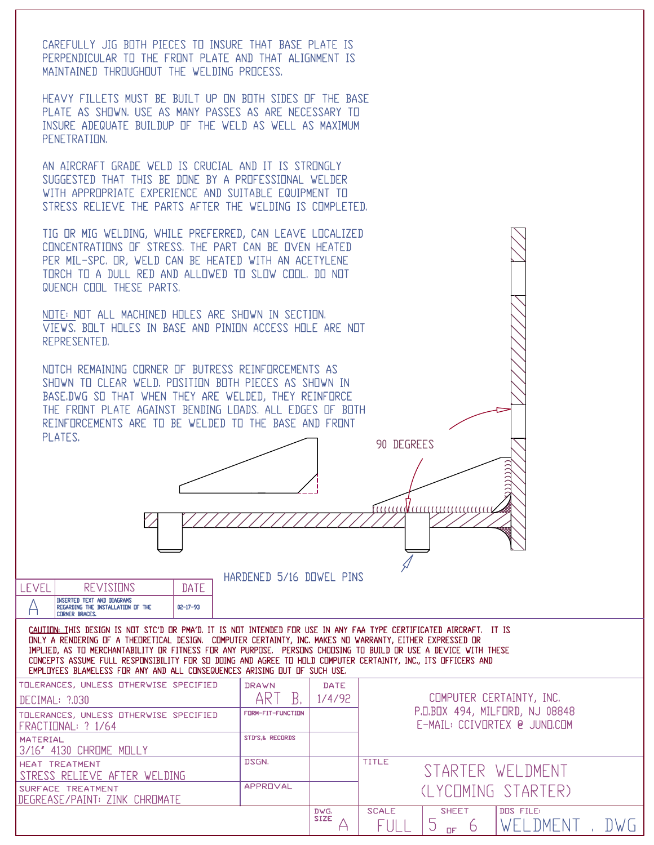